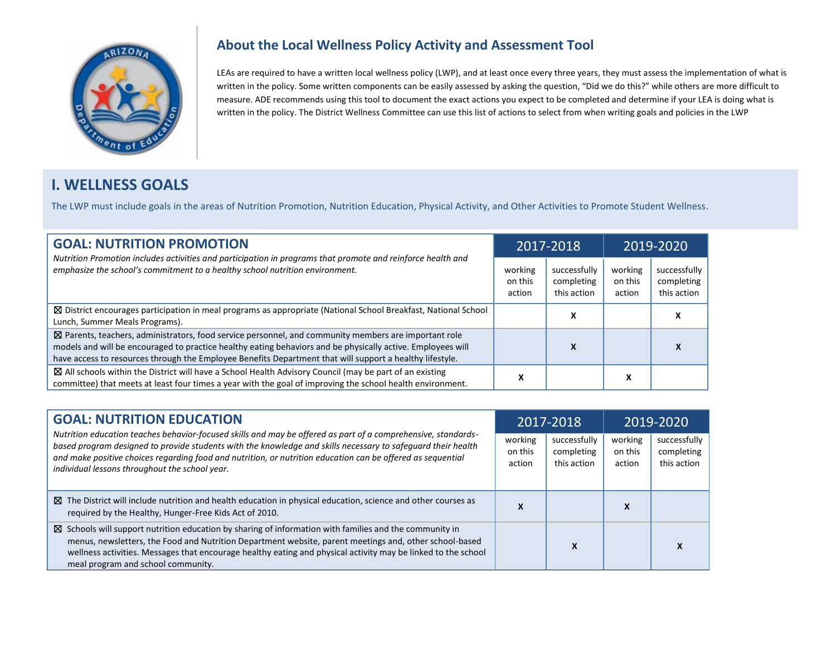

#### **About the Local Wellness Policy Activity and Assessment Tool**

LEAs are required to have a written local wellness policy (LWP), and at least once every three years, they must assess the implementation of what is written in the policy. Some written components can be easily assessed by asking the question, "Did we do this?" while others are more difficult to measure. ADE recommends using this tool to document the exact actions you expect to be completed and determine if your LEA is doing what is written in the policy. The District Wellness Committee can use this list of actions to select from when writing goals and policies in the LWP

# **I. WELLNESS GOALS**

The LWP must include goals in the areas of Nutrition Promotion, Nutrition Education, Physical Activity, and Other Activities to Promote Student Wellness.

| <b>GOAL: NUTRITION PROMOTION</b><br>Nutrition Promotion includes activities and participation in programs that promote and reinforce health and                                                                                                                                                                                  | 2017-2018                    |                                           | 2019-2020                    |                                           |
|----------------------------------------------------------------------------------------------------------------------------------------------------------------------------------------------------------------------------------------------------------------------------------------------------------------------------------|------------------------------|-------------------------------------------|------------------------------|-------------------------------------------|
| emphasize the school's commitment to a healthy school nutrition environment.                                                                                                                                                                                                                                                     | working<br>on this<br>action | successfully<br>completing<br>this action | working<br>on this<br>action | successfully<br>completing<br>this action |
| $\boxtimes$ District encourages participation in meal programs as appropriate (National School Breakfast, National School<br>Lunch, Summer Meals Programs).                                                                                                                                                                      |                              | Χ                                         |                              |                                           |
| ⊠ Parents, teachers, administrators, food service personnel, and community members are important role<br>models and will be encouraged to practice healthy eating behaviors and be physically active. Employees will<br>have access to resources through the Employee Benefits Department that will support a healthy lifestyle. |                              | x                                         |                              |                                           |
| ⊠ All schools within the District will have a School Health Advisory Council (may be part of an existing<br>committee) that meets at least four times a year with the goal of improving the school health environment.                                                                                                           |                              |                                           | x                            |                                           |

| <b>GOAL: NUTRITION EDUCATION</b><br>Nutrition education teaches behavior-focused skills and may be offered as part of a comprehensive, standards-<br>based program designed to provide students with the knowledge and skills necessary to safeguard their health<br>and make positive choices regarding food and nutrition, or nutrition education can be offered as sequential<br>individual lessons throughout the school year. |                              | 2017-2018                                 | 2019-2020                    |                                           |  |
|------------------------------------------------------------------------------------------------------------------------------------------------------------------------------------------------------------------------------------------------------------------------------------------------------------------------------------------------------------------------------------------------------------------------------------|------------------------------|-------------------------------------------|------------------------------|-------------------------------------------|--|
|                                                                                                                                                                                                                                                                                                                                                                                                                                    | working<br>on this<br>action | successfully<br>completing<br>this action | working<br>on this<br>action | successfully<br>completing<br>this action |  |
| ⊠ The District will include nutrition and health education in physical education, science and other courses as<br>required by the Healthy, Hunger-Free Kids Act of 2010.                                                                                                                                                                                                                                                           | Λ                            |                                           | $\lambda$                    |                                           |  |
| $\boxtimes$ Schools will support nutrition education by sharing of information with families and the community in<br>menus, newsletters, the Food and Nutrition Department website, parent meetings and, other school-based<br>wellness activities. Messages that encourage healthy eating and physical activity may be linked to the school<br>meal program and school community.                                                 |                              | Λ                                         |                              |                                           |  |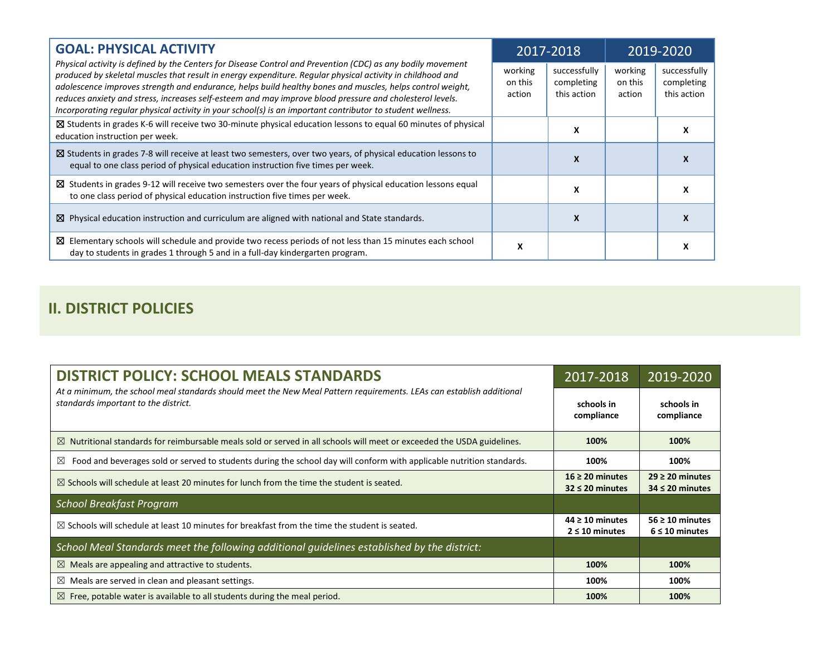| <b>GOAL: PHYSICAL ACTIVITY</b>                                                                                                                                                                                                                                                                                                                                                                                                                                                                                                                                   |                              | 2017-2018                                 |                              | 2019-2020                                 |
|------------------------------------------------------------------------------------------------------------------------------------------------------------------------------------------------------------------------------------------------------------------------------------------------------------------------------------------------------------------------------------------------------------------------------------------------------------------------------------------------------------------------------------------------------------------|------------------------------|-------------------------------------------|------------------------------|-------------------------------------------|
| Physical activity is defined by the Centers for Disease Control and Prevention (CDC) as any bodily movement<br>produced by skeletal muscles that result in energy expenditure. Regular physical activity in childhood and<br>adolescence improves strength and endurance, helps build healthy bones and muscles, helps control weight,<br>reduces anxiety and stress, increases self-esteem and may improve blood pressure and cholesterol levels.<br>Incorporating regular physical activity in your school(s) is an important contributor to student wellness. | working<br>on this<br>action | successfully<br>completing<br>this action | working<br>on this<br>action | successfully<br>completing<br>this action |
| ⊠ Students in grades K-6 will receive two 30-minute physical education lessons to equal 60 minutes of physical<br>education instruction per week.                                                                                                                                                                                                                                                                                                                                                                                                                |                              | x                                         |                              |                                           |
| $\boxtimes$ Students in grades 7-8 will receive at least two semesters, over two years, of physical education lessons to<br>equal to one class period of physical education instruction five times per week.                                                                                                                                                                                                                                                                                                                                                     |                              | x                                         |                              |                                           |
| $\boxtimes$ Students in grades 9-12 will receive two semesters over the four years of physical education lessons equal<br>to one class period of physical education instruction five times per week.                                                                                                                                                                                                                                                                                                                                                             |                              | x                                         |                              |                                           |
| $\boxtimes$ Physical education instruction and curriculum are aligned with national and State standards.                                                                                                                                                                                                                                                                                                                                                                                                                                                         |                              | X                                         |                              |                                           |
| $\boxtimes$ Elementary schools will schedule and provide two recess periods of not less than 15 minutes each school<br>day to students in grades 1 through 5 and in a full-day kindergarten program.                                                                                                                                                                                                                                                                                                                                                             | x                            |                                           |                              |                                           |

# **II. DISTRICT POLICIES**

| <b>DISTRICT POLICY: SCHOOL MEALS STANDARDS</b>                                                                                                               | 2017-2018                                    | 2019-2020                                   |
|--------------------------------------------------------------------------------------------------------------------------------------------------------------|----------------------------------------------|---------------------------------------------|
| At a minimum, the school meal standards should meet the New Meal Pattern requirements. LEAs can establish additional<br>standards important to the district. | schools in<br>compliance                     | schools in<br>compliance                    |
| $\boxtimes$ Nutritional standards for reimbursable meals sold or served in all schools will meet or exceeded the USDA guidelines.                            | 100%                                         | 100%                                        |
| Food and beverages sold or served to students during the school day will conform with applicable nutrition standards.<br>$\boxtimes$                         | 100%                                         | 100%                                        |
| $\boxtimes$ Schools will schedule at least 20 minutes for lunch from the time the student is seated.                                                         | $16 \geq 20$ minutes<br>$32 \leq 20$ minutes | $29 \ge 20$ minutes<br>$34 \leq 20$ minutes |
| <b>School Breakfast Program</b>                                                                                                                              |                                              |                                             |
| $\boxtimes$ Schools will schedule at least 10 minutes for breakfast from the time the student is seated.                                                     | $44 \geq 10$ minutes<br>$2 \leq 10$ minutes  | $56 \geq 10$ minutes<br>$6 \leq 10$ minutes |
| School Meal Standards meet the following additional guidelines established by the district:                                                                  |                                              |                                             |
| $\boxtimes$ Meals are appealing and attractive to students.                                                                                                  | 100%                                         | 100%                                        |
| $\boxtimes$ Meals are served in clean and pleasant settings.                                                                                                 | 100%                                         | 100%                                        |
| $\boxtimes$ Free, potable water is available to all students during the meal period.                                                                         | 100%                                         | 100%                                        |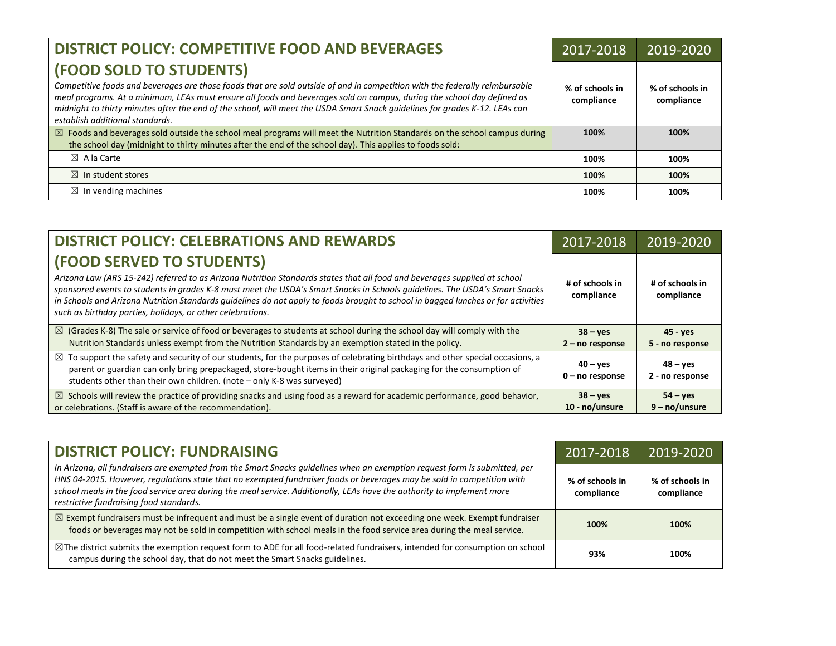| <b>DISTRICT POLICY: COMPETITIVE FOOD AND BEVERAGES</b>                                                                                                                                                                                                                                                                                                                                                                                             | 2017-2018                     | 2019-2020                     |
|----------------------------------------------------------------------------------------------------------------------------------------------------------------------------------------------------------------------------------------------------------------------------------------------------------------------------------------------------------------------------------------------------------------------------------------------------|-------------------------------|-------------------------------|
| (FOOD SOLD TO STUDENTS)<br>Competitive foods and beverages are those foods that are sold outside of and in competition with the federally reimbursable<br>meal programs. At a minimum, LEAs must ensure all foods and beverages sold on campus, during the school day defined as<br>midnight to thirty minutes after the end of the school, will meet the USDA Smart Snack guidelines for grades K-12. LEAs can<br>establish additional standards. | % of schools in<br>compliance | % of schools in<br>compliance |
| $\boxtimes$ Foods and beverages sold outside the school meal programs will meet the Nutrition Standards on the school campus during<br>the school day (midnight to thirty minutes after the end of the school day). This applies to foods sold:                                                                                                                                                                                                    | 100%                          | 100%                          |
| $\boxtimes$ A la Carte                                                                                                                                                                                                                                                                                                                                                                                                                             | 100%                          | 100%                          |
| $\boxtimes$ In student stores                                                                                                                                                                                                                                                                                                                                                                                                                      | 100%                          | 100%                          |
| In vending machines<br>$\bowtie$                                                                                                                                                                                                                                                                                                                                                                                                                   | 100%                          | 100%                          |

| <b>DISTRICT POLICY: CELEBRATIONS AND REWARDS</b>                                                                                                                                                                                                                                                                                                                                                                                                                                         | 2017-2018                              | 2019-2020                        |
|------------------------------------------------------------------------------------------------------------------------------------------------------------------------------------------------------------------------------------------------------------------------------------------------------------------------------------------------------------------------------------------------------------------------------------------------------------------------------------------|----------------------------------------|----------------------------------|
| (FOOD SERVED TO STUDENTS)<br>Arizona Law (ARS 15-242) referred to as Arizona Nutrition Standards states that all food and beverages supplied at school<br>sponsored events to students in grades K-8 must meet the USDA's Smart Snacks in Schools guidelines. The USDA's Smart Snacks<br>in Schools and Arizona Nutrition Standards guidelines do not apply to foods brought to school in bagged lunches or for activities<br>such as birthday parties, holidays, or other celebrations. | # of schools in<br>compliance          | # of schools in<br>compliance    |
| $\boxtimes$ (Grades K-8) The sale or service of food or beverages to students at school during the school day will comply with the<br>Nutrition Standards unless exempt from the Nutrition Standards by an exemption stated in the policy.                                                                                                                                                                                                                                               | $38 - yes$<br>$2 - no$ response        | $45 - yes$<br>5 - no response    |
| $\boxtimes$ To support the safety and security of our students, for the purposes of celebrating birthdays and other special occasions, a<br>parent or guardian can only bring prepackaged, store-bought items in their original packaging for the consumption of<br>students other than their own children. (note - only K-8 was surveyed)                                                                                                                                               | $40 - \text{ves}$<br>$0$ – no response | $48 - \nu$ es<br>2 - no response |
| $\boxtimes$ Schools will review the practice of providing snacks and using food as a reward for academic performance, good behavior,<br>or celebrations. (Staff is aware of the recommendation).                                                                                                                                                                                                                                                                                         | $38 - yes$<br>10 - no/unsure           | $54 - yes$<br>$9 - no/unsure$    |

| <b>DISTRICT POLICY: FUNDRAISING</b>                                                                                                                                                                                                                                                                                                                                                                                       | 2017-2018                     | 2019-2020                     |
|---------------------------------------------------------------------------------------------------------------------------------------------------------------------------------------------------------------------------------------------------------------------------------------------------------------------------------------------------------------------------------------------------------------------------|-------------------------------|-------------------------------|
| In Arizona, all fundraisers are exempted from the Smart Snacks guidelines when an exemption request form is submitted, per<br>HNS 04-2015. However, regulations state that no exempted fundraiser foods or beverages may be sold in competition with<br>school meals in the food service area during the meal service. Additionally, LEAs have the authority to implement more<br>restrictive fundraising food standards. | % of schools in<br>compliance | % of schools in<br>compliance |
| $\boxtimes$ Exempt fundraisers must be infrequent and must be a single event of duration not exceeding one week. Exempt fundraiser<br>foods or beverages may not be sold in competition with school meals in the food service area during the meal service.                                                                                                                                                               | 100%                          | 100%                          |
| $\boxtimes$ The district submits the exemption request form to ADE for all food-related fundraisers, intended for consumption on school<br>campus during the school day, that do not meet the Smart Snacks guidelines.                                                                                                                                                                                                    | 93%                           | 100%                          |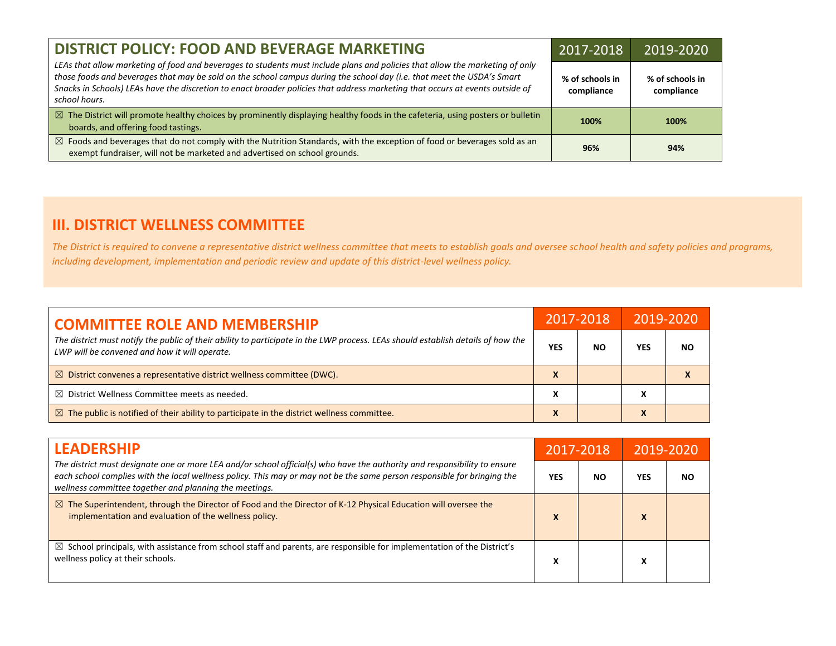| <b>DISTRICT POLICY: FOOD AND BEVERAGE MARKETING</b>                                                                                                                                                                                                                                                                                                                                                      | 2017-2018                     | 2019-2020                     |
|----------------------------------------------------------------------------------------------------------------------------------------------------------------------------------------------------------------------------------------------------------------------------------------------------------------------------------------------------------------------------------------------------------|-------------------------------|-------------------------------|
| LEAs that allow marketing of food and beverages to students must include plans and policies that allow the marketing of only<br>those foods and beverages that may be sold on the school campus during the school day (i.e. that meet the USDA's Smart<br>Snacks in Schools) LEAs have the discretion to enact broader policies that address marketing that occurs at events outside of<br>school hours. | % of schools in<br>compliance | % of schools in<br>compliance |
| $\boxtimes$ The District will promote healthy choices by prominently displaying healthy foods in the cafeteria, using posters or bulletin<br>boards, and offering food tastings.                                                                                                                                                                                                                         | 100%                          | 100%                          |
| $\boxtimes$ Foods and beverages that do not comply with the Nutrition Standards, with the exception of food or beverages sold as an<br>exempt fundraiser, will not be marketed and advertised on school grounds.                                                                                                                                                                                         | 96%                           | 94%                           |

### **III. DISTRICT WELLNESS COMMITTEE**

*The District is required to convene a representative district wellness committee that meets to establish goals and oversee school health and safety policies and programs, including development, implementation and periodic review and update of this district-level wellness policy.*

| <b>COMMITTEE ROLE AND MEMBERSHIP</b>                                                                                                                                              | 2017-2018 |    | 2019-2020  |     |
|-----------------------------------------------------------------------------------------------------------------------------------------------------------------------------------|-----------|----|------------|-----|
| The district must notify the public of their ability to participate in the LWP process. LEAs should establish details of how the<br>LWP will be convened and how it will operate. | YES       | ΝO | <b>YES</b> | NO. |
| $\boxtimes$ District convenes a representative district wellness committee (DWC).                                                                                                 | x         |    |            |     |
| $\boxtimes$ District Wellness Committee meets as needed.                                                                                                                          | χ         |    | х          |     |
| $\boxtimes$ The public is notified of their ability to participate in the district wellness committee.                                                                            | X         |    | X          |     |

| <b>LEADERSHIP</b><br>The district must designate one or more LEA and/or school official(s) who have the authority and responsibility to ensure<br>each school complies with the local wellness policy. This may or may not be the same person responsible for bringing the<br>wellness committee together and planning the meetings. | 2017-2018 |    | 2019-2020    |    |
|--------------------------------------------------------------------------------------------------------------------------------------------------------------------------------------------------------------------------------------------------------------------------------------------------------------------------------------|-----------|----|--------------|----|
|                                                                                                                                                                                                                                                                                                                                      | YES       | NΟ | YES          | ΝO |
| $\boxtimes$ The Superintendent, through the Director of Food and the Director of K-12 Physical Education will oversee the<br>implementation and evaluation of the wellness policy.                                                                                                                                                   | X         |    | $\mathbf{v}$ |    |
| $\boxtimes$ School principals, with assistance from school staff and parents, are responsible for implementation of the District's<br>wellness policy at their schools.                                                                                                                                                              | л         |    | Λ            |    |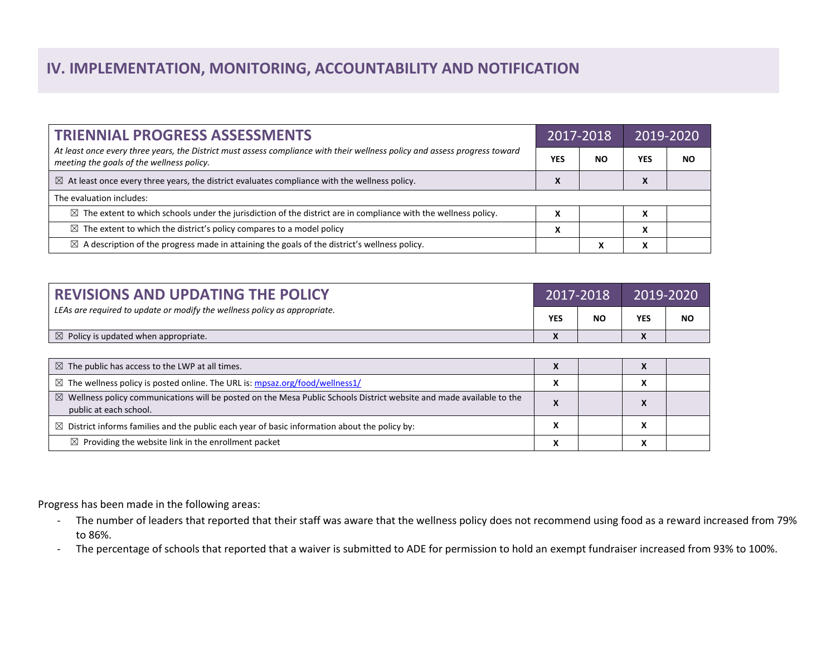# **IV. IMPLEMENTATION, MONITORING, ACCOUNTABILITY AND NOTIFICATION**

| <b>TRIENNIAL PROGRESS ASSESSMENTS</b>                                                                                                                                   | 2017-2018    |    | 2019-2020  |    |
|-------------------------------------------------------------------------------------------------------------------------------------------------------------------------|--------------|----|------------|----|
| At least once every three years, the District must assess compliance with their wellness policy and assess progress toward<br>meeting the goals of the wellness policy. | <b>YES</b>   | NO | <b>YES</b> | ΝO |
| $\boxtimes$ At least once every three years, the district evaluates compliance with the wellness policy.                                                                | $\mathbf{v}$ |    | X          |    |
| The evaluation includes:                                                                                                                                                |              |    |            |    |
| $\boxtimes$ The extent to which schools under the jurisdiction of the district are in compliance with the wellness policy.                                              | v<br>л       |    | x          |    |
| $\boxtimes$ The extent to which the district's policy compares to a model policy                                                                                        | X            |    | X          |    |
| $\boxtimes$ A description of the progress made in attaining the goals of the district's wellness policy.                                                                |              | Λ  | X          |    |

| <b>REVISIONS AND UPDATING THE POLICY</b>                                  | 2017-2018                          |    | 2019-2020                                |           |
|---------------------------------------------------------------------------|------------------------------------|----|------------------------------------------|-----------|
| LEAs are required to update or modify the wellness policy as appropriate. | <b>YES</b>                         | NΟ | <b>YES</b>                               | <b>NO</b> |
| $\boxtimes$ Policy is updated when appropriate.                           | $\mathbf{v}$<br>$\mathbf{\Lambda}$ |    | $\overline{\phantom{a}}$<br>$\mathbf{v}$ |           |

| $\boxtimes$ The public has access to the LWP at all times.                                                                                                |  |  |
|-----------------------------------------------------------------------------------------------------------------------------------------------------------|--|--|
| $\boxtimes$ The wellness policy is posted online. The URL is: mpsaz.org/food/wellness1/                                                                   |  |  |
| $\boxtimes$ Wellness policy communications will be posted on the Mesa Public Schools District website and made available to the<br>public at each school. |  |  |
| $\boxtimes$ District informs families and the public each year of basic information about the policy by:                                                  |  |  |
| $\boxtimes$ Providing the website link in the enrollment packet                                                                                           |  |  |

Progress has been made in the following areas:

- The number of leaders that reported that their staff was aware that the wellness policy does not recommend using food as a reward increased from 79% to 86%.
- The percentage of schools that reported that a waiver is submitted to ADE for permission to hold an exempt fundraiser increased from 93% to 100%.